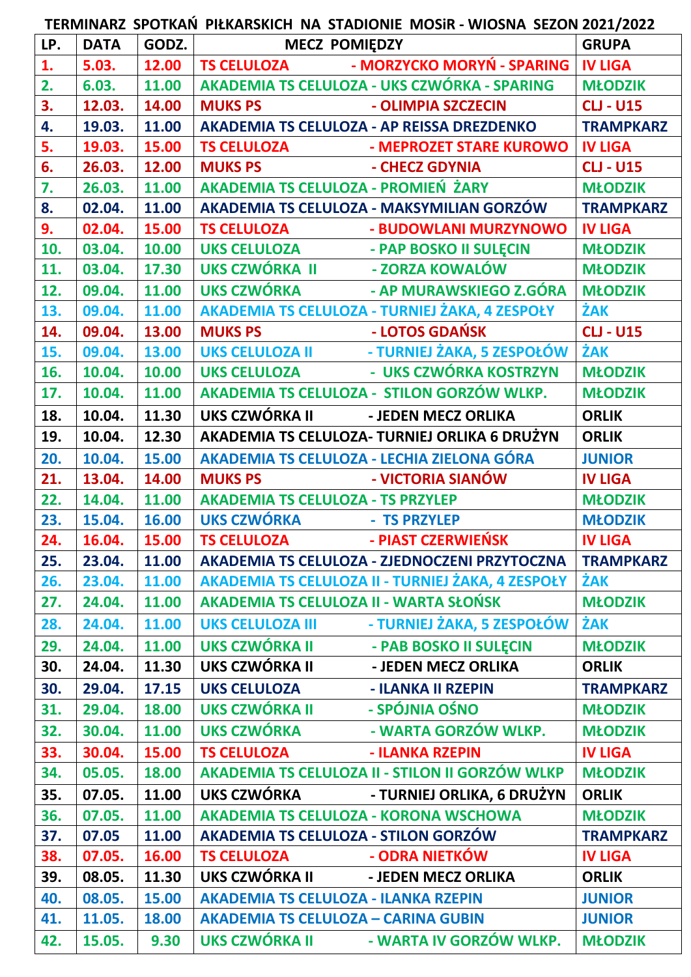**TERMINARZ SPOTKAŃ PIŁKARSKICH NA STADIONIE MOSiR - WIOSNA SEZON 2021/2022**

| LP. | <b>DATA</b> | GODZ. | <b>MECZ POMIĘDZY</b>                         |                                                                                   | <b>GRUPA</b>     |
|-----|-------------|-------|----------------------------------------------|-----------------------------------------------------------------------------------|------------------|
| 1.  | 5.03.       | 12.00 | TS CELULOZA                                  | - MORZYCKO MORYŃ - SPARING   IV LIGA                                              |                  |
| 2.  | 6.03.       | 11.00 |                                              | AKADEMIA TS CELULOZA - UKS CZWÓRKA - SPARING                                      | <b>MŁODZIK</b>   |
| 3.  | 12.03.      | 14.00 | <b>MUKS PS</b>                               | - OLIMPIA SZCZECIN                                                                | <b>CLJ - U15</b> |
| 4.  | 19.03.      | 11.00 | AKADEMIA TS CELULOZA - AP REISSA DREZDENKO   |                                                                                   | <b>TRAMPKARZ</b> |
| 5.  | 19.03.      | 15.00 | TS CELULOZA                                  | - MEPROZET STARE KUROWO                                                           | <b>IV LIGA</b>   |
| 6.  | 26.03.      | 12.00 | <b>MUKS PS</b>                               | - CHECZ GDYNIA                                                                    | <b>CLJ - U15</b> |
| 7.  | 26.03.      | 11.00 | AKADEMIA TS CELULOZA - PROMIEŃ ŻARY          |                                                                                   | <b>MŁODZIK</b>   |
| 8.  | 02.04.      | 11.00 |                                              | AKADEMIA TS CELULOZA - MAKSYMILIAN GORZÓW                                         | <b>TRAMPKARZ</b> |
| 9.  | 02.04.      | 15.00 | TS CELULOZA                                  | - BUDOWLANI MURZYNOWO                                                             | <b>IV LIGA</b>   |
| 10. | 03.04.      | 10.00 | UKS CELULOZA - PAP BOSKO II SULĘCIN          |                                                                                   | <b>MŁODZIK</b>   |
| 11. | 03.04.      | 17.30 | UKS CZWÓRKA II - ZORZA KOWALÓW               |                                                                                   | <b>MŁODZIK</b>   |
| 12. | 09.04.      | 11.00 |                                              | UKS CZWÓRKA - AP MURAWSKIEGO Z.GÓRA                                               | <b>MŁODZIK</b>   |
| 13. | 09.04.      | 11.00 |                                              | AKADEMIA TS CELULOZA - TURNIEJ ŻAKA, 4 ZESPOŁY                                    | ŻAK              |
| 14. | 09.04.      | 13.00 | <b>MUKS PS</b>                               | - LOTOS GDAŃSK                                                                    | <b>CLJ - U15</b> |
| 15. | 09.04.      | 13.00 |                                              | UKS CELULOZA II - TURNIEJ ŻAKA, 5 ZESPOŁÓW<br>UKS CELULOZA - UKS CZWÓRKA KOSTRZYN | ŻAK              |
| 16. | 10.04.      | 10.00 |                                              |                                                                                   | <b>MŁODZIK</b>   |
| 17. | 10.04.      | 11.00 |                                              | AKADEMIA TS CELULOZA - STILON GORZÓW WLKP.                                        | <b>MŁODZIK</b>   |
| 18. | 10.04.      | 11.30 | UKS CZWÓRKA II - JEDEN MECZ ORLIKA           |                                                                                   | <b>ORLIK</b>     |
| 19. | 10.04.      | 12.30 |                                              | AKADEMIA TS CELULOZA- TURNIEJ ORLIKA 6 DRUŻYN                                     | <b>ORLIK</b>     |
| 20. | 10.04.      | 15.00 | AKADEMIA TS CELULOZA - LECHIA ZIELONA GÓRA   |                                                                                   | <b>JUNIOR</b>    |
| 21. | 13.04.      | 14.00 | <b>MUKS PS</b>                               | - VICTORIA SIANÓW                                                                 | <b>IV LIGA</b>   |
| 22. | 14.04.      | 11.00 | <b>AKADEMIA TS CELULOZA - TS PRZYLEP</b>     |                                                                                   | <b>MŁODZIK</b>   |
| 23. | 15.04.      | 16.00 | UKS CZWÓRKA - TS PRZYLEP                     |                                                                                   | <b>MŁODZIK</b>   |
| 24. | 16.04.      | 15.00 | TS CELULOZA - PIAST CZERWIEŃSK               |                                                                                   | <b>IV LIGA</b>   |
| 25. | 23.04.      | 11.00 |                                              | AKADEMIA TS CELULOZA - ZJEDNOCZENI PRZYTOCZNA                                     | <b>TRAMPKARZ</b> |
| 26. | 23.04.      | 11.00 |                                              | AKADEMIA TS CELULOZA II - TURNIEJ ŻAKA, 4 ZESPOŁY                                 | ŻAK              |
| 27. | 24.04.      | 11.00 | AKADEMIA TS CELULOZA II - WARTA SŁOŃSK       |                                                                                   | <b>MŁODZIK</b>   |
| 28. | 24.04.      | 11.00 | <b>UKS CELULOZA III</b>                      | - TURNIEJ ŻAKA, 5 ZESPOŁÓW                                                        | ŻAK              |
| 29. | 24.04.      | 11.00 | <b>UKS CZWÓRKA II</b>                        | - PAB BOSKO II SULECIN                                                            | <b>MŁODZIK</b>   |
| 30. | 24.04.      | 11.30 | UKS CZWÓRKA II                               | - JEDEN MECZ ORLIKA                                                               | <b>ORLIK</b>     |
| 30. | 29.04.      | 17.15 | <b>UKS CELULOZA</b>                          | - ILANKA II RZEPIN                                                                | <b>TRAMPKARZ</b> |
| 31. | 29.04.      | 18.00 | <b>UKS CZWÓRKA II</b>                        | - SPÓJNIA OŚNO                                                                    | <b>MŁODZIK</b>   |
| 32. | 30.04.      | 11.00 | <b>UKS CZWÓRKA</b>                           | - WARTA GORZÓW WLKP.                                                              | <b>MŁODZIK</b>   |
| 33. | 30.04.      | 15.00 | <b>TS CELULOZA</b>                           | - ILANKA RZEPIN                                                                   | <b>IV LIGA</b>   |
| 34. | 05.05.      | 18.00 |                                              | AKADEMIA TS CELULOZA II - STILON II GORZÓW WLKP                                   | <b>MŁODZIK</b>   |
| 35. | 07.05.      | 11.00 | <b>UKS CZWÓRKA</b>                           | - TURNIEJ ORLIKA, 6 DRUŻYN                                                        | <b>ORLIK</b>     |
| 36. | 07.05.      | 11.00 | <b>AKADEMIA TS CELULOZA - KORONA WSCHOWA</b> |                                                                                   | <b>MŁODZIK</b>   |
| 37. | 07.05       | 11.00 | AKADEMIA TS CELULOZA - STILON GORZÓW         |                                                                                   | <b>TRAMPKARZ</b> |
| 38. | 07.05.      | 16.00 | <b>TS CELULOZA</b>                           | - ODRA NIETKÓW                                                                    | <b>IV LIGA</b>   |
| 39. | 08.05.      | 11.30 | UKS CZWÓRKA II                               | - JEDEN MECZ ORLIKA                                                               | <b>ORLIK</b>     |
| 40. | 08.05.      | 15.00 | <b>AKADEMIA TS CELULOZA - ILANKA RZEPIN</b>  |                                                                                   | <b>JUNIOR</b>    |
| 41. | 11.05.      | 18.00 | <b>AKADEMIA TS CELULOZA - CARINA GUBIN</b>   |                                                                                   | <b>JUNIOR</b>    |
| 42. | 15.05.      | 9.30  | UKS CZWÓRKA II                               | - WARTA IV GORZÓW WLKP.                                                           | <b>MŁODZIK</b>   |